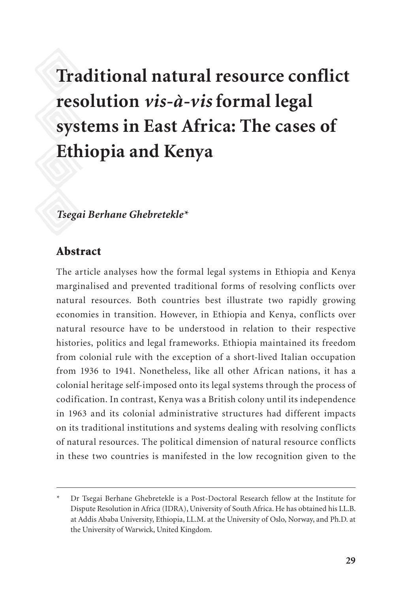# **Traditional natural resource conflict resolution** *vis-à-vis* **formal legal systems in East Africa: The cases of Ethiopia and Kenya**

## *Tsegai Berhane Ghebretekle\**

#### Abstract

The article analyses how the formal legal systems in Ethiopia and Kenya marginalised and prevented traditional forms of resolving conflicts over natural resources. Both countries best illustrate two rapidly growing economies in transition. However, in Ethiopia and Kenya, conflicts over natural resource have to be understood in relation to their respective histories, politics and legal frameworks. Ethiopia maintained its freedom from colonial rule with the exception of a short-lived Italian occupation from 1936 to 1941. Nonetheless, like all other African nations, it has a colonial heritage self-imposed onto its legal systems through the process of codification. In contrast, Kenya was a British colony until its independence in 1963 and its colonial administrative structures had different impacts on its traditional institutions and systems dealing with resolving conflicts of natural resources. The political dimension of natural resource conflicts in these two countries is manifested in the low recognition given to the

Dr Tsegai Berhane Ghebretekle is a Post-Doctoral Research fellow at the Institute for Dispute Resolution in Africa (IDRA), University of South Africa. He has obtained his LL.B. at Addis Ababa University, Ethiopia, LL.M. at the University of Oslo, Norway, and Ph.D. at the University of Warwick, United Kingdom.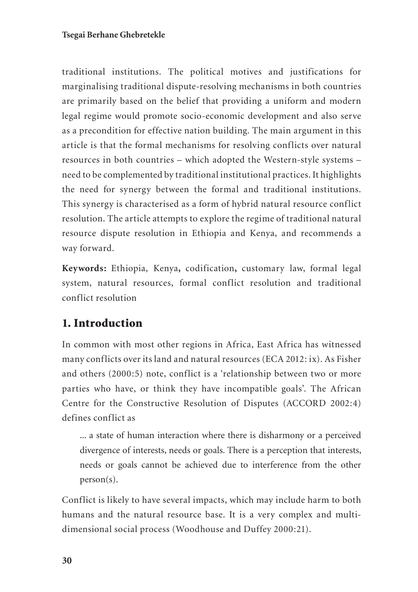#### **Tsegai Berhane Ghebretekle**

traditional institutions. The political motives and justifications for marginalising traditional dispute-resolving mechanisms in both countries are primarily based on the belief that providing a uniform and modern legal regime would promote socio-economic development and also serve as a precondition for effective nation building. The main argument in this article is that the formal mechanisms for resolving conflicts over natural resources in both countries – which adopted the Western-style systems – need to be complemented by traditional institutional practices. It highlights the need for synergy between the formal and traditional institutions. This synergy is characterised as a form of hybrid natural resource conflict resolution. The article attempts to explore the regime of traditional natural resource dispute resolution in Ethiopia and Kenya, and recommends a way forward.

**Keywords:** Ethiopia, Kenya**,** codification**,** customary law, formal legal system, natural resources, formal conflict resolution and traditional conflict resolution

# 1. Introduction

In common with most other regions in Africa, East Africa has witnessed many conflicts over its land and natural resources (ECA 2012: ix). As Fisher and others (2000:5) note, conflict is a 'relationship between two or more parties who have, or think they have incompatible goals'. The African Centre for the Constructive Resolution of Disputes (ACCORD 2002:4) defines conflict as

... a state of human interaction where there is disharmony or a perceived divergence of interests, needs or goals. There is a perception that interests, needs or goals cannot be achieved due to interference from the other person(s).

Conflict is likely to have several impacts, which may include harm to both humans and the natural resource base. It is a very complex and multidimensional social process (Woodhouse and Duffey 2000:21).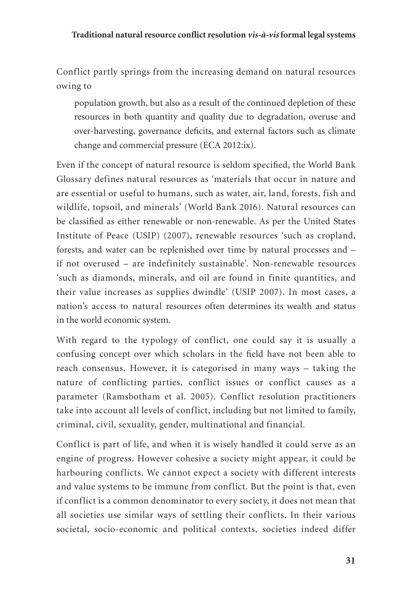Conflict partly springs from the increasing demand on natural resources owing to

population growth, but also as a result of the continued depletion of these resources in both quantity and quality due to degradation, overuse and over-harvesting, governance deficits, and external factors such as climate change and commercial pressure (ECA 2012:ix).

Even if the concept of natural resource is seldom specified, the World Bank Glossary defines natural resources as 'materials that occur in nature and are essential or useful to humans, such as water, air, land, forests, fish and wildlife, topsoil, and minerals' (World Bank 2016). Natural resources can be classified as either renewable or non-renewable. As per the United States Institute of Peace (USIP) (2007), renewable resources 'such as cropland, forests, and water can be replenished over time by natural processes and – if not overused – are indefinitely sustainable'. Non-renewable resources 'such as diamonds, minerals, and oil are found in finite quantities, and their value increases as supplies dwindle' (USIP 2007). In most cases, a nation's access to natural resources often determines its wealth and status in the world economic system.

With regard to the typology of conflict, one could say it is usually a confusing concept over which scholars in the field have not been able to reach consensus. However, it is categorised in many ways – taking the nature of conflicting parties, conflict issues or conflict causes as a parameter (Ramsbotham et al. 2005). Conflict resolution practitioners take into account all levels of conflict, including but not limited to family, criminal, civil, sexuality, gender, multinational and financial.

Conflict is part of life, and when it is wisely handled it could serve as an engine of progress. However cohesive a society might appear, it could be harbouring conflicts. We cannot expect a society with different interests and value systems to be immune from conflict. But the point is that, even if conflict is a common denominator to every society, it does not mean that all societies use similar ways of settling their conflicts. In their various societal, socio-economic and political contexts, societies indeed differ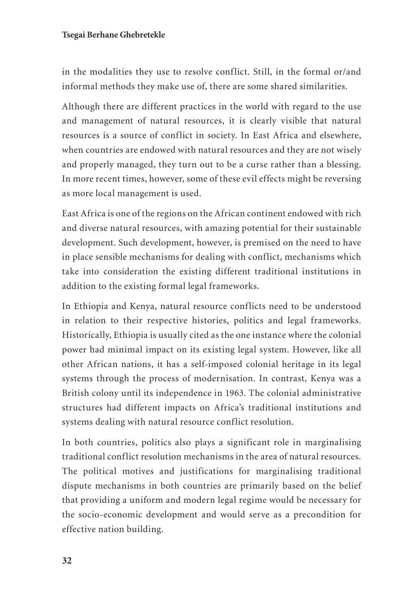#### **Tsegai Berhane Ghebretekle**

in the modalities they use to resolve conflict. Still, in the formal or/and informal methods they make use of, there are some shared similarities.

Although there are different practices in the world with regard to the use and management of natural resources, it is clearly visible that natural resources is a source of conflict in society. In East Africa and elsewhere, when countries are endowed with natural resources and they are not wisely and properly managed, they turn out to be a curse rather than a blessing. In more recent times, however, some of these evil effects might be reversing as more local management is used.

East Africa is one of the regions on the African continent endowed with rich and diverse natural resources, with amazing potential for their sustainable development. Such development, however, is premised on the need to have in place sensible mechanisms for dealing with conflict, mechanisms which take into consideration the existing different traditional institutions in addition to the existing formal legal frameworks.

In Ethiopia and Kenya, natural resource conflicts need to be understood in relation to their respective histories, politics and legal frameworks. Historically, Ethiopia is usually cited as the one instance where the colonial power had minimal impact on its existing legal system. However, like all other African nations, it has a self-imposed colonial heritage in its legal systems through the process of modernisation. In contrast, Kenya was a British colony until its independence in 1963. The colonial administrative structures had different impacts on Africa's traditional institutions and systems dealing with natural resource conflict resolution.

In both countries, politics also plays a significant role in marginalising traditional conflict resolution mechanisms in the area of natural resources. The political motives and justifications for marginalising traditional dispute mechanisms in both countries are primarily based on the belief that providing a uniform and modern legal regime would be necessary for the socio-economic development and would serve as a precondition for effective nation building.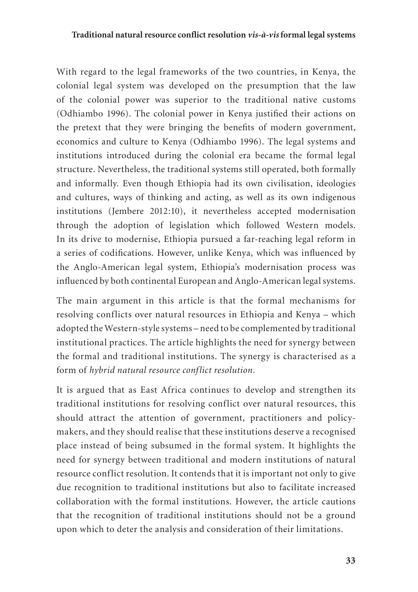#### **Traditional natural resource conflict resolution** *vis-à-vis* **formal legal systems**

With regard to the legal frameworks of the two countries, in Kenya, the colonial legal system was developed on the presumption that the law of the colonial power was superior to the traditional native customs (Odhiambo 1996). The colonial power in Kenya justified their actions on the pretext that they were bringing the benefits of modern government, economics and culture to Kenya (Odhiambo 1996). The legal systems and institutions introduced during the colonial era became the formal legal structure. Nevertheless, the traditional systems still operated, both formally and informally. Even though Ethiopia had its own civilisation, ideologies and cultures, ways of thinking and acting, as well as its own indigenous institutions (Jembere 2012:10), it nevertheless accepted modernisation through the adoption of legislation which followed Western models. In its drive to modernise, Ethiopia pursued a far-reaching legal reform in a series of codifications. However, unlike Kenya, which was influenced by the Anglo-American legal system, Ethiopia's modernisation process was influenced by both continental European and Anglo-American legal systems.

The main argument in this article is that the formal mechanisms for resolving conflicts over natural resources in Ethiopia and Kenya – which adopted the Western-style systems – need to be complemented by traditional institutional practices. The article highlights the need for synergy between the formal and traditional institutions. The synergy is characterised as a form of *hybrid natural resource conflict resolution.* 

It is argued that as East Africa continues to develop and strengthen its traditional institutions for resolving conflict over natural resources, this should attract the attention of government, practitioners and policymakers, and they should realise that these institutions deserve a recognised place instead of being subsumed in the formal system. It highlights the need for synergy between traditional and modern institutions of natural resource conflict resolution. It contends that it is important not only to give due recognition to traditional institutions but also to facilitate increased collaboration with the formal institutions. However, the article cautions that the recognition of traditional institutions should not be a ground upon which to deter the analysis and consideration of their limitations.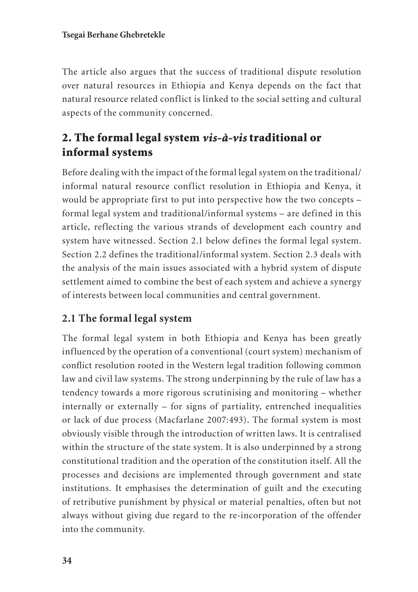The article also argues that the success of traditional dispute resolution over natural resources in Ethiopia and Kenya depends on the fact that natural resource related conflict is linked to the social setting and cultural aspects of the community concerned.

# 2. The formal legal system *vis-à-vis* traditional or informal systems

Before dealing with the impact of the formal legal system on the traditional/ informal natural resource conflict resolution in Ethiopia and Kenya, it would be appropriate first to put into perspective how the two concepts – formal legal system and traditional/informal systems – are defined in this article, reflecting the various strands of development each country and system have witnessed. Section 2.1 below defines the formal legal system. Section 2.2 defines the traditional/informal system. Section 2.3 deals with the analysis of the main issues associated with a hybrid system of dispute settlement aimed to combine the best of each system and achieve a synergy of interests between local communities and central government.

# **2.1 The formal legal system**

The formal legal system in both Ethiopia and Kenya has been greatly influenced by the operation of a conventional (court system) mechanism of conflict resolution rooted in the Western legal tradition following common law and civil law systems. The strong underpinning by the rule of law has a tendency towards a more rigorous scrutinising and monitoring – whether internally or externally – for signs of partiality, entrenched inequalities or lack of due process (Macfarlane 2007:493). The formal system is most obviously visible through the introduction of written laws. It is centralised within the structure of the state system. It is also underpinned by a strong constitutional tradition and the operation of the constitution itself. All the processes and decisions are implemented through government and state institutions. It emphasises the determination of guilt and the executing of retributive punishment by physical or material penalties, often but not always without giving due regard to the re-incorporation of the offender into the community.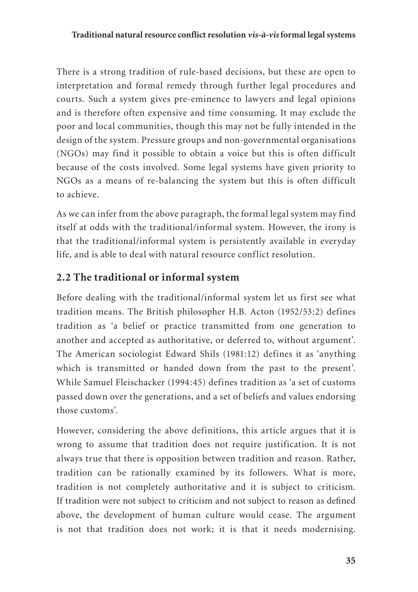There is a strong tradition of rule-based decisions, but these are open to interpretation and formal remedy through further legal procedures and courts. Such a system gives pre-eminence to lawyers and legal opinions and is therefore often expensive and time consuming. It may exclude the poor and local communities, though this may not be fully intended in the design of the system. Pressure groups and non-governmental organisations (NGOs) may find it possible to obtain a voice but this is often difficult because of the costs involved. Some legal systems have given priority to NGOs as a means of re-balancing the system but this is often difficult to achieve.

As we can infer from the above paragraph, the formal legal system may find itself at odds with the traditional/informal system. However, the irony is that the traditional/informal system is persistently available in everyday life, and is able to deal with natural resource conflict resolution.

# **2.2 The traditional or informal system**

Before dealing with the traditional/informal system let us first see what tradition means. The British philosopher H.B. Acton (1952/53:2) defines tradition as 'a belief or practice transmitted from one generation to another and accepted as authoritative, or deferred to, without argument'. The American sociologist Edward Shils (1981:12) defines it as 'anything which is transmitted or handed down from the past to the present'. While Samuel Fleischacker (1994:45) defines tradition as 'a set of customs passed down over the generations, and a set of beliefs and values endorsing those customs'.

However, considering the above definitions, this article argues that it is wrong to assume that tradition does not require justification. It is not always true that there is opposition between tradition and reason. Rather, tradition can be rationally examined by its followers. What is more, tradition is not completely authoritative and it is subject to criticism. If tradition were not subject to criticism and not subject to reason as defined above, the development of human culture would cease. The argument is not that tradition does not work; it is that it needs modernising.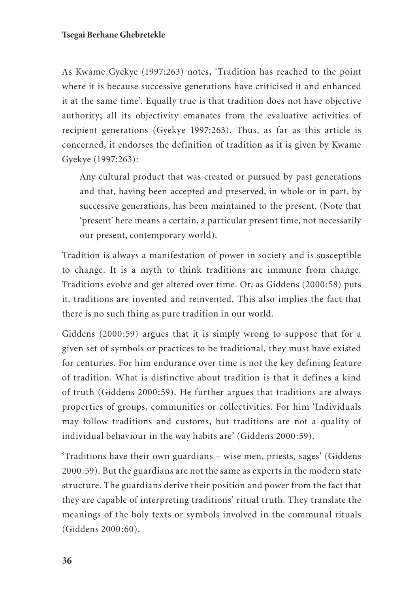As Kwame Gyekye (1997:263) notes, 'Tradition has reached to the point where it is because successive generations have criticised it and enhanced it at the same time'. Equally true is that tradition does not have objective authority; all its objectivity emanates from the evaluative activities of recipient generations (Gyekye 1997:263). Thus, as far as this article is concerned, it endorses the definition of tradition as it is given by Kwame Gyekye (1997:263):

Any cultural product that was created or pursued by past generations and that, having been accepted and preserved, in whole or in part, by successive generations, has been maintained to the present. (Note that 'present' here means a certain, a particular present time, not necessarily our present, contemporary world).

Tradition is always a manifestation of power in society and is susceptible to change. It is a myth to think traditions are immune from change. Traditions evolve and get altered over time. Or, as Giddens (2000:58) puts it, traditions are invented and reinvented. This also implies the fact that there is no such thing as pure tradition in our world.

Giddens (2000:59) argues that it is simply wrong to suppose that for a given set of symbols or practices to be traditional, they must have existed for centuries. For him endurance over time is not the key defining feature of tradition. What is distinctive about tradition is that it defines a kind of truth (Giddens 2000:59). He further argues that traditions are always properties of groups, communities or collectivities. For him 'Individuals may follow traditions and customs, but traditions are not a quality of individual behaviour in the way habits are' (Giddens 2000:59).

'Traditions have their own guardians – wise men, priests, sages' (Giddens 2000:59). But the guardians are not the same as experts in the modern state structure. The guardians derive their position and power from the fact that they are capable of interpreting traditions' ritual truth. They translate the meanings of the holy texts or symbols involved in the communal rituals (Giddens 2000:60).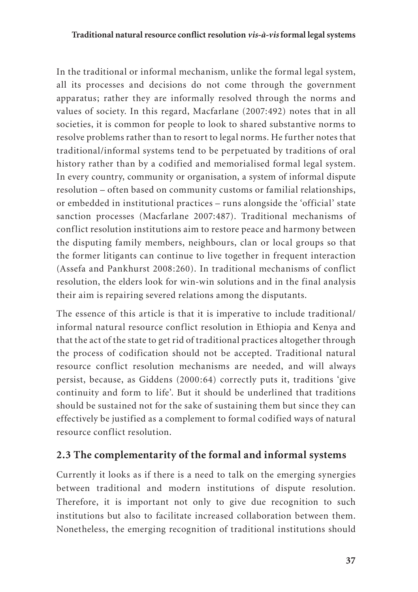In the traditional or informal mechanism, unlike the formal legal system, all its processes and decisions do not come through the government apparatus; rather they are informally resolved through the norms and values of society. In this regard, Macfarlane (2007:492) notes that in all societies, it is common for people to look to shared substantive norms to resolve problems rather than to resort to legal norms. He further notes that traditional/informal systems tend to be perpetuated by traditions of oral history rather than by a codified and memorialised formal legal system. In every country, community or organisation, a system of informal dispute resolution – often based on community customs or familial relationships, or embedded in institutional practices – runs alongside the 'official' state sanction processes (Macfarlane 2007:487). Traditional mechanisms of conflict resolution institutions aim to restore peace and harmony between the disputing family members, neighbours, clan or local groups so that the former litigants can continue to live together in frequent interaction (Assefa and Pankhurst 2008:260). In traditional mechanisms of conflict resolution, the elders look for win-win solutions and in the final analysis their aim is repairing severed relations among the disputants.

The essence of this article is that it is imperative to include traditional/ informal natural resource conflict resolution in Ethiopia and Kenya and that the act of the state to get rid of traditional practices altogether through the process of codification should not be accepted. Traditional natural resource conflict resolution mechanisms are needed, and will always persist, because, as Giddens (2000:64) correctly puts it, traditions 'give continuity and form to life'. But it should be underlined that traditions should be sustained not for the sake of sustaining them but since they can effectively be justified as a complement to formal codified ways of natural resource conflict resolution.

## **2.3 The complementarity of the formal and informal systems**

Currently it looks as if there is a need to talk on the emerging synergies between traditional and modern institutions of dispute resolution. Therefore, it is important not only to give due recognition to such institutions but also to facilitate increased collaboration between them. Nonetheless, the emerging recognition of traditional institutions should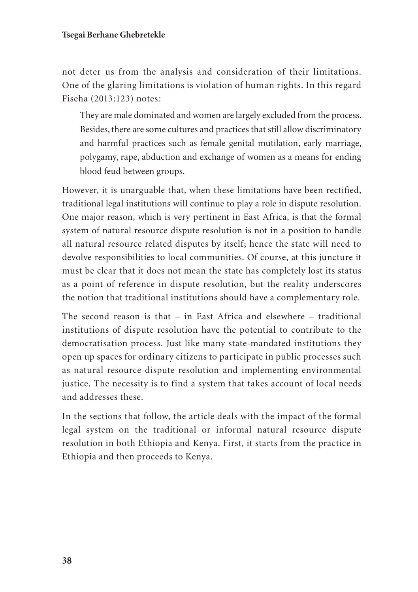not deter us from the analysis and consideration of their limitations. One of the glaring limitations is violation of human rights. In this regard Fiseha (2013:123) notes:

They are male dominated and women are largely excluded from the process. Besides, there are some cultures and practices that still allow discriminatory and harmful practices such as female genital mutilation, early marriage, polygamy, rape, abduction and exchange of women as a means for ending blood feud between groups.

However, it is unarguable that, when these limitations have been rectified, traditional legal institutions will continue to play a role in dispute resolution. One major reason, which is very pertinent in East Africa, is that the formal system of natural resource dispute resolution is not in a position to handle all natural resource related disputes by itself; hence the state will need to devolve responsibilities to local communities. Of course, at this juncture it must be clear that it does not mean the state has completely lost its status as a point of reference in dispute resolution, but the reality underscores the notion that traditional institutions should have a complementary role.

The second reason is that  $-$  in East Africa and elsewhere  $-$  traditional institutions of dispute resolution have the potential to contribute to the democratisation process. Just like many state-mandated institutions they open up spaces for ordinary citizens to participate in public processes such as natural resource dispute resolution and implementing environmental justice. The necessity is to find a system that takes account of local needs and addresses these.

In the sections that follow, the article deals with the impact of the formal legal system on the traditional or informal natural resource dispute resolution in both Ethiopia and Kenya. First, it starts from the practice in Ethiopia and then proceeds to Kenya.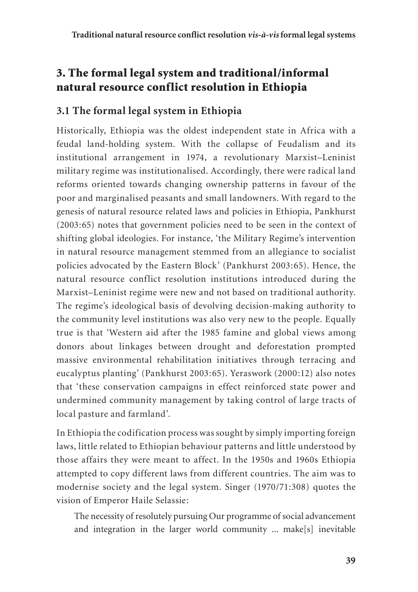# 3. The formal legal system and traditional/informal natural resource conflict resolution in Ethiopia

## **3.1 The formal legal system in Ethiopia**

Historically, Ethiopia was the oldest independent state in Africa with a feudal land-holding system. With the collapse of Feudalism and its institutional arrangement in 1974, a revolutionary Marxist–Leninist military regime was institutionalised. Accordingly, there were radical land reforms oriented towards changing ownership patterns in favour of the poor and marginalised peasants and small landowners. With regard to the genesis of natural resource related laws and policies in Ethiopia, Pankhurst (2003:65) notes that government policies need to be seen in the context of shifting global ideologies. For instance, 'the Military Regime's intervention in natural resource management stemmed from an allegiance to socialist policies advocated by the Eastern Block' (Pankhurst 2003:65). Hence, the natural resource conflict resolution institutions introduced during the Marxist–Leninist regime were new and not based on traditional authority. The regime's ideological basis of devolving decision-making authority to the community level institutions was also very new to the people. Equally true is that 'Western aid after the 1985 famine and global views among donors about linkages between drought and deforestation prompted massive environmental rehabilitation initiatives through terracing and eucalyptus planting' (Pankhurst 2003:65). Yeraswork (2000:12) also notes that 'these conservation campaigns in effect reinforced state power and undermined community management by taking control of large tracts of local pasture and farmland'.

In Ethiopia the codification process was sought by simply importing foreign laws, little related to Ethiopian behaviour patterns and little understood by those affairs they were meant to affect. In the 1950s and 1960s Ethiopia attempted to copy different laws from different countries. The aim was to modernise society and the legal system. Singer (1970/71:308) quotes the vision of Emperor Haile Selassie:

The necessity of resolutely pursuing Our programme of social advancement and integration in the larger world community ... make[s] inevitable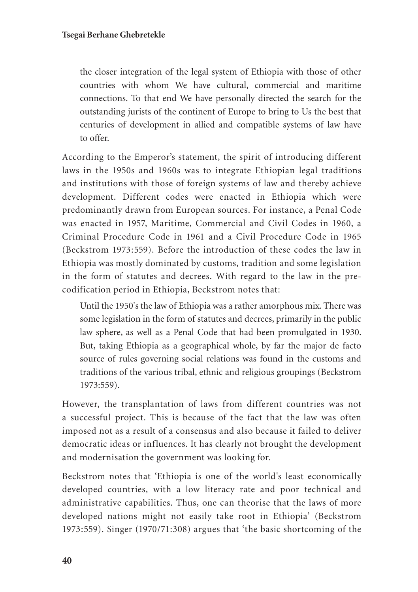the closer integration of the legal system of Ethiopia with those of other countries with whom We have cultural, commercial and maritime connections. To that end We have personally directed the search for the outstanding jurists of the continent of Europe to bring to Us the best that centuries of development in allied and compatible systems of law have to offer.

According to the Emperor's statement, the spirit of introducing different laws in the 1950s and 1960s was to integrate Ethiopian legal traditions and institutions with those of foreign systems of law and thereby achieve development. Different codes were enacted in Ethiopia which were predominantly drawn from European sources. For instance, a Penal Code was enacted in 1957, Maritime, Commercial and Civil Codes in 1960, a Criminal Procedure Code in 1961 and a Civil Procedure Code in 1965 (Beckstrom 1973:559). Before the introduction of these codes the law in Ethiopia was mostly dominated by customs, tradition and some legislation in the form of statutes and decrees. With regard to the law in the precodification period in Ethiopia, Beckstrom notes that:

Until the 1950's the law of Ethiopia was a rather amorphous mix. There was some legislation in the form of statutes and decrees, primarily in the public law sphere, as well as a Penal Code that had been promulgated in 1930. But, taking Ethiopia as a geographical whole, by far the major de facto source of rules governing social relations was found in the customs and traditions of the various tribal, ethnic and religious groupings (Beckstrom 1973:559).

However, the transplantation of laws from different countries was not a successful project. This is because of the fact that the law was often imposed not as a result of a consensus and also because it failed to deliver democratic ideas or influences. It has clearly not brought the development and modernisation the government was looking for.

Beckstrom notes that 'Ethiopia is one of the world's least economically developed countries, with a low literacy rate and poor technical and administrative capabilities. Thus, one can theorise that the laws of more developed nations might not easily take root in Ethiopia' (Beckstrom 1973:559). Singer (1970/71:308) argues that 'the basic shortcoming of the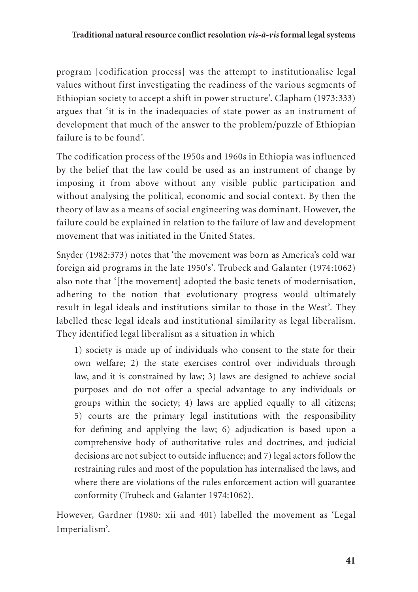program [codification process] was the attempt to institutionalise legal values without first investigating the readiness of the various segments of Ethiopian society to accept a shift in power structure'. Clapham (1973:333) argues that 'it is in the inadequacies of state power as an instrument of development that much of the answer to the problem/puzzle of Ethiopian failure is to be found'.

The codification process of the 1950s and 1960s in Ethiopia was influenced by the belief that the law could be used as an instrument of change by imposing it from above without any visible public participation and without analysing the political, economic and social context. By then the theory of law as a means of social engineering was dominant. However, the failure could be explained in relation to the failure of law and development movement that was initiated in the United States.

Snyder (1982:373) notes that 'the movement was born as America's cold war foreign aid programs in the late 1950's'. Trubeck and Galanter (1974:1062) also note that '[the movement] adopted the basic tenets of modernisation, adhering to the notion that evolutionary progress would ultimately result in legal ideals and institutions similar to those in the West'. They labelled these legal ideals and institutional similarity as legal liberalism. They identified legal liberalism as a situation in which

1) society is made up of individuals who consent to the state for their own welfare; 2) the state exercises control over individuals through law, and it is constrained by law; 3) laws are designed to achieve social purposes and do not offer a special advantage to any individuals or groups within the society; 4) laws are applied equally to all citizens; 5) courts are the primary legal institutions with the responsibility for defining and applying the law; 6) adjudication is based upon a comprehensive body of authoritative rules and doctrines, and judicial decisions are not subject to outside influence; and 7) legal actors follow the restraining rules and most of the population has internalised the laws, and where there are violations of the rules enforcement action will guarantee conformity (Trubeck and Galanter 1974:1062).

However, Gardner (1980: xii and 401) labelled the movement as 'Legal Imperialism'.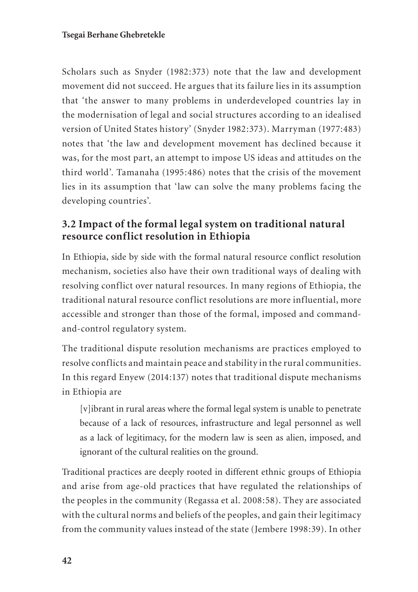Scholars such as Snyder (1982:373) note that the law and development movement did not succeed. He argues that its failure lies in its assumption that 'the answer to many problems in underdeveloped countries lay in the modernisation of legal and social structures according to an idealised version of United States history' (Snyder 1982:373). Marryman (1977:483) notes that 'the law and development movement has declined because it was, for the most part, an attempt to impose US ideas and attitudes on the third world'. Tamanaha (1995:486) notes that the crisis of the movement lies in its assumption that 'law can solve the many problems facing the developing countries'.

## **3.2 Impact of the formal legal system on traditional natural resource conflict resolution in Ethiopia**

In Ethiopia, side by side with the formal natural resource conflict resolution mechanism, societies also have their own traditional ways of dealing with resolving conflict over natural resources. In many regions of Ethiopia, the traditional natural resource conflict resolutions are more influential, more accessible and stronger than those of the formal, imposed and commandand-control regulatory system.

The traditional dispute resolution mechanisms are practices employed to resolve conflicts and maintain peace and stability in the rural communities. In this regard Enyew (2014:137) notes that traditional dispute mechanisms in Ethiopia are

[v]ibrant in rural areas where the formal legal system is unable to penetrate because of a lack of resources, infrastructure and legal personnel as well as a lack of legitimacy, for the modern law is seen as alien, imposed, and ignorant of the cultural realities on the ground.

Traditional practices are deeply rooted in different ethnic groups of Ethiopia and arise from age-old practices that have regulated the relationships of the peoples in the community (Regassa et al. 2008:58). They are associated with the cultural norms and beliefs of the peoples, and gain their legitimacy from the community values instead of the state (Jembere 1998:39). In other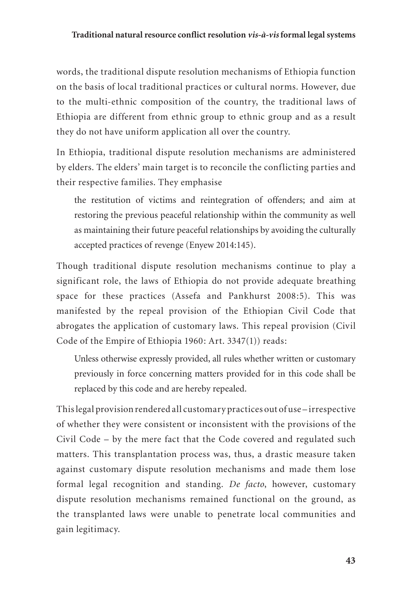words, the traditional dispute resolution mechanisms of Ethiopia function on the basis of local traditional practices or cultural norms. However, due to the multi-ethnic composition of the country, the traditional laws of Ethiopia are different from ethnic group to ethnic group and as a result they do not have uniform application all over the country.

In Ethiopia, traditional dispute resolution mechanisms are administered by elders. The elders' main target is to reconcile the conflicting parties and their respective families. They emphasise

the restitution of victims and reintegration of offenders; and aim at restoring the previous peaceful relationship within the community as well as maintaining their future peaceful relationships by avoiding the culturally accepted practices of revenge (Enyew 2014:145).

Though traditional dispute resolution mechanisms continue to play a significant role, the laws of Ethiopia do not provide adequate breathing space for these practices (Assefa and Pankhurst 2008:5). This was manifested by the repeal provision of the Ethiopian Civil Code that abrogates the application of customary laws. This repeal provision (Civil Code of the Empire of Ethiopia 1960: Art. 3347(1)) reads:

Unless otherwise expressly provided, all rules whether written or customary previously in force concerning matters provided for in this code shall be replaced by this code and are hereby repealed.

This legal provision rendered all customary practices out of use – irrespective of whether they were consistent or inconsistent with the provisions of the Civil Code – by the mere fact that the Code covered and regulated such matters. This transplantation process was, thus, a drastic measure taken against customary dispute resolution mechanisms and made them lose formal legal recognition and standing. *De facto*, however, customary dispute resolution mechanisms remained functional on the ground, as the transplanted laws were unable to penetrate local communities and gain legitimacy.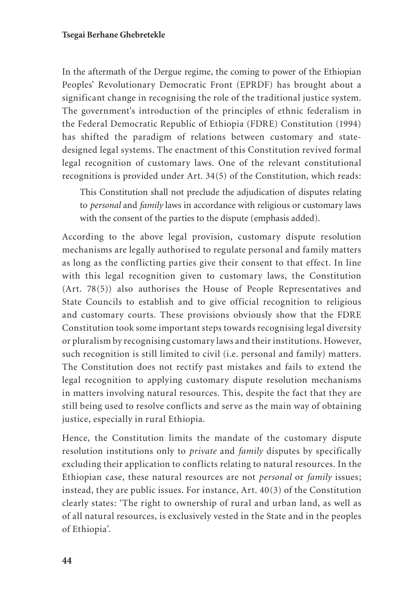In the aftermath of the Dergue regime, the coming to power of the Ethiopian Peoples' Revolutionary Democratic Front (EPRDF) has brought about a significant change in recognising the role of the traditional justice system. The government's introduction of the principles of ethnic federalism in the Federal Democratic Republic of Ethiopia (FDRE) Constitution (1994) has shifted the paradigm of relations between customary and statedesigned legal systems. The enactment of this Constitution revived formal legal recognition of customary laws. One of the relevant constitutional recognitions is provided under Art. 34(5) of the Constitution, which reads:

This Constitution shall not preclude the adjudication of disputes relating to *personal* and *family* laws in accordance with religious or customary laws with the consent of the parties to the dispute (emphasis added).

According to the above legal provision, customary dispute resolution mechanisms are legally authorised to regulate personal and family matters as long as the conflicting parties give their consent to that effect. In line with this legal recognition given to customary laws, the Constitution (Art. 78(5)) also authorises the House of People Representatives and State Councils to establish and to give official recognition to religious and customary courts. These provisions obviously show that the FDRE Constitution took some important steps towards recognising legal diversity or pluralism by recognising customary laws and their institutions. However, such recognition is still limited to civil (i.e. personal and family) matters. The Constitution does not rectify past mistakes and fails to extend the legal recognition to applying customary dispute resolution mechanisms in matters involving natural resources. This, despite the fact that they are still being used to resolve conflicts and serve as the main way of obtaining justice, especially in rural Ethiopia.

Hence, the Constitution limits the mandate of the customary dispute resolution institutions only to *private* and *family* disputes by specifically excluding their application to conflicts relating to natural resources. In the Ethiopian case, these natural resources are not *personal* or *family* issues; instead, they are public issues. For instance, Art. 40(3) of the Constitution clearly states: 'The right to ownership of rural and urban land, as well as of all natural resources, is exclusively vested in the State and in the peoples of Ethiopia'.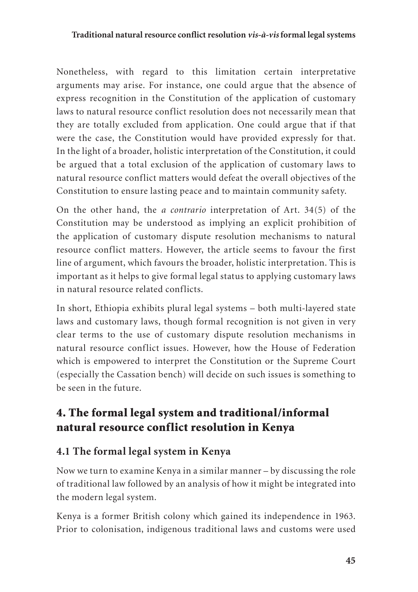#### **Traditional natural resource conflict resolution** *vis-à-vis* **formal legal systems**

Nonetheless, with regard to this limitation certain interpretative arguments may arise. For instance, one could argue that the absence of express recognition in the Constitution of the application of customary laws to natural resource conflict resolution does not necessarily mean that they are totally excluded from application. One could argue that if that were the case, the Constitution would have provided expressly for that. In the light of a broader, holistic interpretation of the Constitution, it could be argued that a total exclusion of the application of customary laws to natural resource conflict matters would defeat the overall objectives of the Constitution to ensure lasting peace and to maintain community safety.

On the other hand, the *a contrario* interpretation of Art. 34(5) of the Constitution may be understood as implying an explicit prohibition of the application of customary dispute resolution mechanisms to natural resource conflict matters. However, the article seems to favour the first line of argument, which favours the broader, holistic interpretation. This is important as it helps to give formal legal status to applying customary laws in natural resource related conflicts.

In short, Ethiopia exhibits plural legal systems – both multi-layered state laws and customary laws, though formal recognition is not given in very clear terms to the use of customary dispute resolution mechanisms in natural resource conflict issues. However, how the House of Federation which is empowered to interpret the Constitution or the Supreme Court (especially the Cassation bench) will decide on such issues is something to be seen in the future.

# 4. The formal legal system and traditional/informal natural resource conflict resolution in Kenya

## **4.1 The formal legal system in Kenya**

Now we turn to examine Kenya in a similar manner – by discussing the role of traditional law followed by an analysis of how it might be integrated into the modern legal system.

Kenya is a former British colony which gained its independence in 1963. Prior to colonisation, indigenous traditional laws and customs were used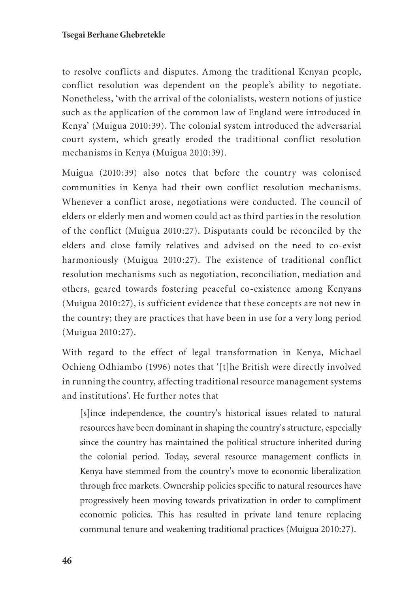#### **Tsegai Berhane Ghebretekle**

to resolve conflicts and disputes. Among the traditional Kenyan people, conflict resolution was dependent on the people's ability to negotiate. Nonetheless, 'with the arrival of the colonialists, western notions of justice such as the application of the common law of England were introduced in Kenya' (Muigua 2010:39). The colonial system introduced the adversarial court system, which greatly eroded the traditional conflict resolution mechanisms in Kenya (Muigua 2010:39).

Muigua (2010:39) also notes that before the country was colonised communities in Kenya had their own conflict resolution mechanisms. Whenever a conflict arose, negotiations were conducted. The council of elders or elderly men and women could act as third parties in the resolution of the conflict (Muigua 2010:27). Disputants could be reconciled by the elders and close family relatives and advised on the need to co-exist harmoniously (Muigua 2010:27). The existence of traditional conflict resolution mechanisms such as negotiation, reconciliation, mediation and others, geared towards fostering peaceful co-existence among Kenyans (Muigua 2010:27), is sufficient evidence that these concepts are not new in the country; they are practices that have been in use for a very long period (Muigua 2010:27).

With regard to the effect of legal transformation in Kenya, Michael Ochieng Odhiambo (1996) notes that '[t]he British were directly involved in running the country, affecting traditional resource management systems and institutions'. He further notes that

[s]ince independence, the country's historical issues related to natural resources have been dominant in shaping the country's structure, especially since the country has maintained the political structure inherited during the colonial period. Today, several resource management conflicts in Kenya have stemmed from the country's move to economic liberalization through free markets. Ownership policies specific to natural resources have progressively been moving towards privatization in order to compliment economic policies. This has resulted in private land tenure replacing communal tenure and weakening traditional practices (Muigua 2010:27).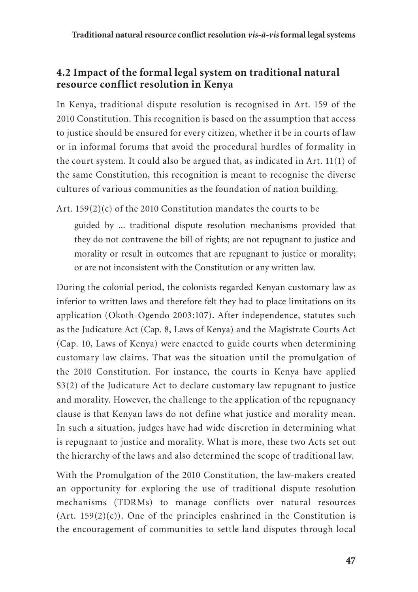## **4.2 Impact of the formal legal system on traditional natural resource conflict resolution in Kenya**

In Kenya, traditional dispute resolution is recognised in Art. 159 of the 2010 Constitution. This recognition is based on the assumption that access to justice should be ensured for every citizen, whether it be in courts of law or in informal forums that avoid the procedural hurdles of formality in the court system. It could also be argued that, as indicated in Art. 11(1) of the same Constitution, this recognition is meant to recognise the diverse cultures of various communities as the foundation of nation building.

Art. 159(2)(c) of the 2010 Constitution mandates the courts to be

guided by ... traditional dispute resolution mechanisms provided that they do not contravene the bill of rights; are not repugnant to justice and morality or result in outcomes that are repugnant to justice or morality; or are not inconsistent with the Constitution or any written law.

During the colonial period, the colonists regarded Kenyan customary law as inferior to written laws and therefore felt they had to place limitations on its application (Okoth-Ogendo 2003:107). After independence, statutes such as the Judicature Act (Cap. 8, Laws of Kenya) and the Magistrate Courts Act (Cap. 10, Laws of Kenya) were enacted to guide courts when determining customary law claims. That was the situation until the promulgation of the 2010 Constitution. For instance, the courts in Kenya have applied S3(2) of the Judicature Act to declare customary law repugnant to justice and morality. However, the challenge to the application of the repugnancy clause is that Kenyan laws do not define what justice and morality mean. In such a situation, judges have had wide discretion in determining what is repugnant to justice and morality. What is more, these two Acts set out the hierarchy of the laws and also determined the scope of traditional law.

With the Promulgation of the 2010 Constitution, the law-makers created an opportunity for exploring the use of traditional dispute resolution mechanisms (TDRMs) to manage conflicts over natural resources (Art. 159 $(2)(c)$ ). One of the principles enshrined in the Constitution is the encouragement of communities to settle land disputes through local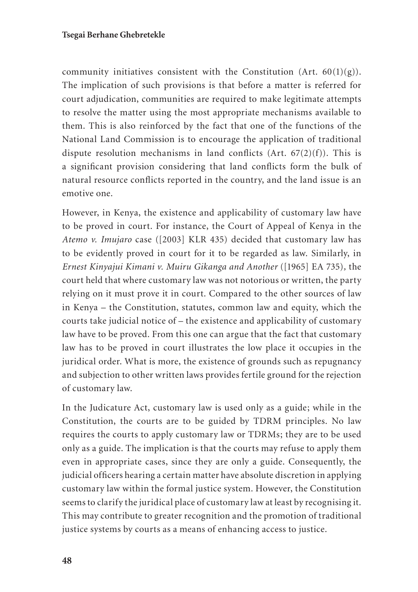community initiatives consistent with the Constitution (Art.  $60(1)(g)$ ). The implication of such provisions is that before a matter is referred for court adjudication, communities are required to make legitimate attempts to resolve the matter using the most appropriate mechanisms available to them. This is also reinforced by the fact that one of the functions of the National Land Commission is to encourage the application of traditional dispute resolution mechanisms in land conflicts (Art.  $67(2)(f)$ ). This is a significant provision considering that land conflicts form the bulk of natural resource conflicts reported in the country, and the land issue is an emotive one.

However, in Kenya, the existence and applicability of customary law have to be proved in court. For instance, the Court of Appeal of Kenya in the *Atemo v. Imujaro* case ([2003] KLR 435) decided that customary law has to be evidently proved in court for it to be regarded as law. Similarly, in *Ernest Kinyajui Kimani v. Muiru Gikanga and Another* ([1965] EA 735)*,* the court held that where customary law was not notorious or written, the party relying on it must prove it in court. Compared to the other sources of law in Kenya – the Constitution, statutes, common law and equity, which the courts take judicial notice of – the existence and applicability of customary law have to be proved. From this one can argue that the fact that customary law has to be proved in court illustrates the low place it occupies in the juridical order. What is more, the existence of grounds such as repugnancy and subjection to other written laws provides fertile ground for the rejection of customary law.

In the Judicature Act, customary law is used only as a guide; while in the Constitution, the courts are to be guided by TDRM principles. No law requires the courts to apply customary law or TDRMs; they are to be used only as a guide. The implication is that the courts may refuse to apply them even in appropriate cases, since they are only a guide. Consequently, the judicial officers hearing a certain matter have absolute discretion in applying customary law within the formal justice system. However, the Constitution seems to clarify the juridical place of customary law at least by recognising it. This may contribute to greater recognition and the promotion of traditional justice systems by courts as a means of enhancing access to justice.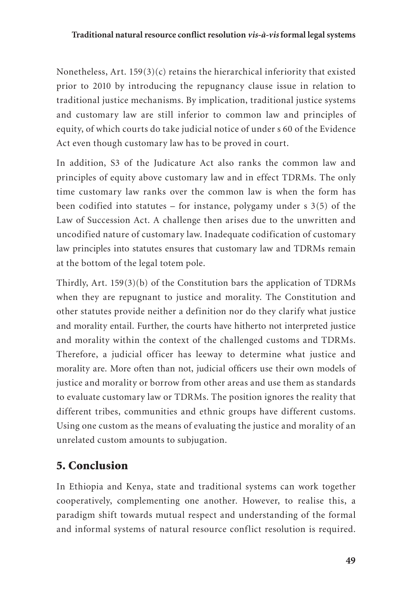Nonetheless, Art. 159(3)(c) retains the hierarchical inferiority that existed prior to 2010 by introducing the repugnancy clause issue in relation to traditional justice mechanisms. By implication, traditional justice systems and customary law are still inferior to common law and principles of equity, of which courts do take judicial notice of under s 60 of the Evidence Act even though customary law has to be proved in court.

In addition, S3 of the Judicature Act also ranks the common law and principles of equity above customary law and in effect TDRMs. The only time customary law ranks over the common law is when the form has been codified into statutes – for instance, polygamy under  $s$  3(5) of the Law of Succession Act. A challenge then arises due to the unwritten and uncodified nature of customary law. Inadequate codification of customary law principles into statutes ensures that customary law and TDRMs remain at the bottom of the legal totem pole.

Thirdly, Art. 159(3)(b) of the Constitution bars the application of TDRMs when they are repugnant to justice and morality. The Constitution and other statutes provide neither a definition nor do they clarify what justice and morality entail. Further, the courts have hitherto not interpreted justice and morality within the context of the challenged customs and TDRMs. Therefore, a judicial officer has leeway to determine what justice and morality are. More often than not, judicial officers use their own models of justice and morality or borrow from other areas and use them as standards to evaluate customary law or TDRMs. The position ignores the reality that different tribes, communities and ethnic groups have different customs. Using one custom as the means of evaluating the justice and morality of an unrelated custom amounts to subjugation.

# 5. Conclusion

In Ethiopia and Kenya, state and traditional systems can work together cooperatively, complementing one another. However, to realise this, a paradigm shift towards mutual respect and understanding of the formal and informal systems of natural resource conflict resolution is required.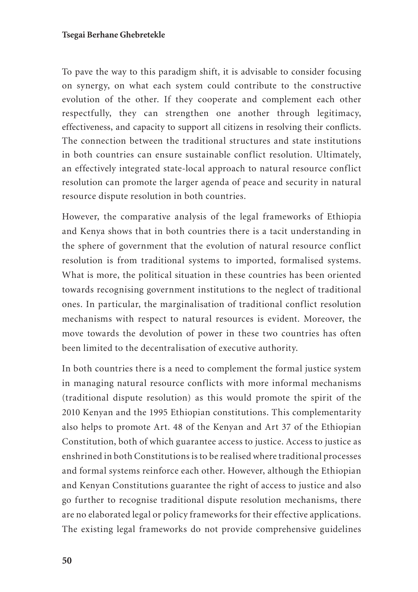To pave the way to this paradigm shift, it is advisable to consider focusing on synergy, on what each system could contribute to the constructive evolution of the other. If they cooperate and complement each other respectfully, they can strengthen one another through legitimacy, effectiveness, and capacity to support all citizens in resolving their conflicts. The connection between the traditional structures and state institutions in both countries can ensure sustainable conflict resolution. Ultimately, an effectively integrated state-local approach to natural resource conflict resolution can promote the larger agenda of peace and security in natural resource dispute resolution in both countries.

However, the comparative analysis of the legal frameworks of Ethiopia and Kenya shows that in both countries there is a tacit understanding in the sphere of government that the evolution of natural resource conflict resolution is from traditional systems to imported, formalised systems. What is more, the political situation in these countries has been oriented towards recognising government institutions to the neglect of traditional ones. In particular, the marginalisation of traditional conflict resolution mechanisms with respect to natural resources is evident. Moreover, the move towards the devolution of power in these two countries has often been limited to the decentralisation of executive authority.

In both countries there is a need to complement the formal justice system in managing natural resource conflicts with more informal mechanisms (traditional dispute resolution) as this would promote the spirit of the 2010 Kenyan and the 1995 Ethiopian constitutions. This complementarity also helps to promote Art. 48 of the Kenyan and Art 37 of the Ethiopian Constitution, both of which guarantee access to justice. Access to justice as enshrined in both Constitutions is to be realised where traditional processes and formal systems reinforce each other. However, although the Ethiopian and Kenyan Constitutions guarantee the right of access to justice and also go further to recognise traditional dispute resolution mechanisms, there are no elaborated legal or policy frameworks for their effective applications. The existing legal frameworks do not provide comprehensive guidelines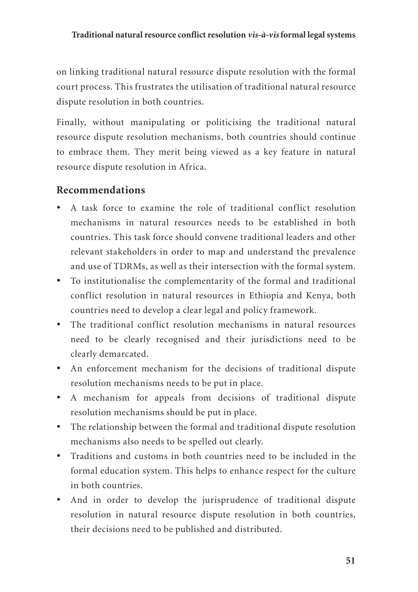on linking traditional natural resource dispute resolution with the formal court process. This frustrates the utilisation of traditional natural resource dispute resolution in both countries.

Finally, without manipulating or politicising the traditional natural resource dispute resolution mechanisms, both countries should continue to embrace them. They merit being viewed as a key feature in natural resource dispute resolution in Africa.

## **Recommendations**

- • A task force to examine the role of traditional conflict resolution mechanisms in natural resources needs to be established in both countries. This task force should convene traditional leaders and other relevant stakeholders in order to map and understand the prevalence and use of TDRMs, as well as their intersection with the formal system.
- • To institutionalise the complementarity of the formal and traditional conflict resolution in natural resources in Ethiopia and Kenya, both countries need to develop a clear legal and policy framework.
- The traditional conflict resolution mechanisms in natural resources need to be clearly recognised and their jurisdictions need to be clearly demarcated.
- An enforcement mechanism for the decisions of traditional dispute resolution mechanisms needs to be put in place.
- • A mechanism for appeals from decisions of traditional dispute resolution mechanisms should be put in place.
- The relationship between the formal and traditional dispute resolution mechanisms also needs to be spelled out clearly.
- • Traditions and customs in both countries need to be included in the formal education system. This helps to enhance respect for the culture in both countries.
- And in order to develop the jurisprudence of traditional dispute resolution in natural resource dispute resolution in both countries, their decisions need to be published and distributed.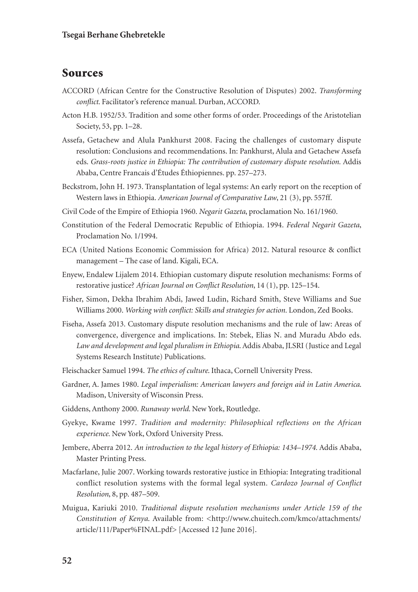## Sources

- ACCORD (African Centre for the Constructive Resolution of Disputes) 2002. *Transforming conflict*. Facilitator's reference manual. Durban, ACCORD.
- Acton H.B. 1952/53. Tradition and some other forms of order. Proceedings of the Aristotelian Society, 53, pp. 1–28.
- Assefa, Getachew and Alula Pankhurst 2008. Facing the challenges of customary dispute resolution: Conclusions and recommendations. In: Pankhurst, Alula and Getachew Assefa eds. *Grass-roots justice in Ethiopia: The contribution of customary dispute resolution*. Addis Ababa, Centre Francais d'Études Éthiopiennes. pp. 257–273.
- Beckstrom, John H. 1973. Transplantation of legal systems: An early report on the reception of Western laws in Ethiopia. *American Journal of Comparative Law*, 21 (3), pp. 557ff.
- Civil Code of the Empire of Ethiopia 1960. *Negarit Gazeta*, proclamation No. 161/1960.
- Constitution of the Federal Democratic Republic of Ethiopia. 1994. *Federal Negarit Gazeta*, Proclamation No. 1/1994.
- ECA (United Nations Economic Commission for Africa) 2012. Natural resource & conflict management – The case of land. Kigali, ECA.
- Enyew, Endalew Lijalem 2014. Ethiopian customary dispute resolution mechanisms: Forms of restorative justice? *African Journal on Conflict Resolution*, 14 (1), pp. 125–154.
- Fisher, Simon, Dekha Ibrahim Abdi, Jawed Ludin, Richard Smith, Steve Williams and Sue Williams 2000. *Working with conflict: Skills and strategies for action.* London, Zed Books.
- Fiseha, Assefa 2013. Customary dispute resolution mechanisms and the rule of law: Areas of convergence, divergence and implications. In: Stebek, Elias N. and Muradu Abdo eds. *Law and development and legal pluralism in Ethiopia*. Addis Ababa, JLSRI (Justice and Legal Systems Research Institute) Publications.
- Fleischacker Samuel 1994. *The ethics of culture*. Ithaca, Cornell University Press.
- Gardner, A. James 1980. *Legal imperialism: American lawyers and foreign aid in Latin America*. Madison, University of Wisconsin Press.
- Giddens, Anthony 2000. *Runaway world*. New York, Routledge.
- Gyekye, Kwame 1997. *Tradition and modernity: Philosophical reflections on the African experience.* New York, Oxford University Press.
- Jembere, Aberra 2012. *An introduction to the legal history of Ethiopia: 1434–1974.* Addis Ababa, Master Printing Press.
- Macfarlane, Julie 2007. Working towards restorative justice in Ethiopia: Integrating traditional conflict resolution systems with the formal legal system*. Cardozo Journal of Conflict Resolution*, 8, pp. 487–509.
- Muigua, Kariuki 2010. *Traditional dispute resolution mechanisms under Article 159 of the Constitution of Kenya*. Available from: <http://www.chuitech.com/kmco/attachments/ article/111/Paper%FINAL.pdf> [Accessed 12 June 2016].